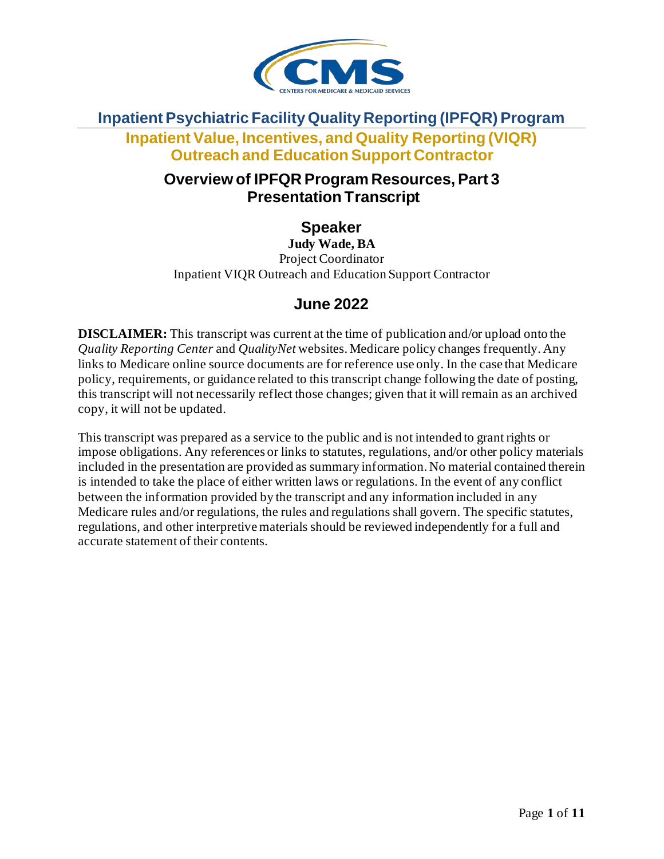

#### **Inpatient Psychiatric Facility Quality Reporting (IPFQR) Program**

**Inpatient Value, Incentives, and Quality Reporting (VIQR) Outreach and Education Support Contractor**

### **Overview of IPFQR Program Resources, Part 3 Presentation Transcript**

**Speaker**

**Judy Wade, BA** Project Coordinator Inpatient VIQR Outreach and Education Support Contractor

# **June 2022**

**DISCLAIMER:** This transcript was current at the time of publication and/or upload onto the *Quality Reporting Center* and *QualityNet* websites. Medicare policy changes frequently. Any links to Medicare online source documents are for reference use only. In the case that Medicare policy, requirements, or guidance related to this transcript change following the date of posting, this transcript will not necessarily reflect those changes; given that it will remain as an archived copy, it will not be updated.

This transcript was prepared as a service to the public and is not intended to grant rights or impose obligations. Any references or links to statutes, regulations, and/or other policy materials included in the presentation are provided as summary information. No material contained therein is intended to take the place of either written laws or regulations. In the event of any conflict between the information provided by the transcript and any information included in any Medicare rules and/or regulations, the rules and regulations shall govern. The specific statutes, regulations, and other interpretive materials should be reviewed independently for a full and accurate statement of their contents.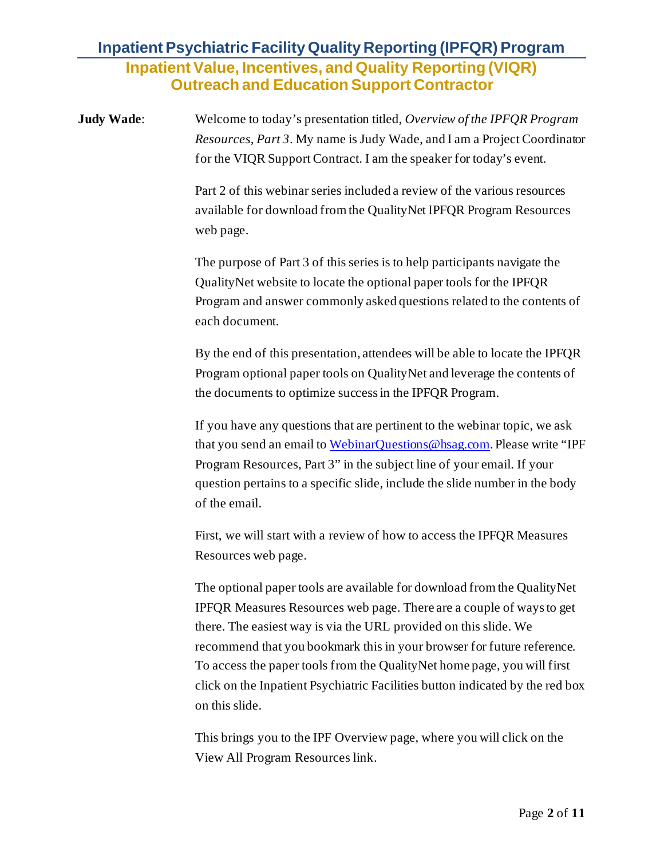**Judy Wade**: Welcome to today's presentation titled, *Overview of the IPFQR Program Resources, Part 3*. My name is Judy Wade, and I am a Project Coordinator for the VIQR Support Contract. I am the speaker for today's event.

> Part 2 of this webinar series included a review of the various resources available for download from the QualityNet IPFQR Program Resources web page.

The purpose of Part 3 of this series is to help participants navigate the QualityNet website to locate the optional paper tools for the IPFQR Program and answer commonly asked questions related to the contents of each document.

By the end of this presentation, attendees will be able to locate the IPFQR Program optional paper tools on QualityNet and leverage the contents of the documents to optimize success in the IPFQR Program.

If you have any questions that are pertinent to the webinar topic, we ask that you send an email t[o WebinarQuestions@hsag.com](mailto:WebinarQuestions@hsag.com). Please write "IPF Program Resources, Part 3" in the subject line of your email. If your question pertains to a specific slide, include the slide number in the body of the email.

First, we will start with a review of how to access the IPFQR Measures Resources web page.

The optional paper tools are available for download from the QualityNet IPFQR Measures Resources web page. There are a couple of ways to get there. The easiest way is via the URL provided on this slide. We recommend that you bookmark this in your browser for future reference. To access the paper tools from the QualityNet home page, you will first click on the Inpatient Psychiatric Facilities button indicated by the red box on this slide.

This brings you to the IPF Overview page, where you will click on the View All Program Resources link.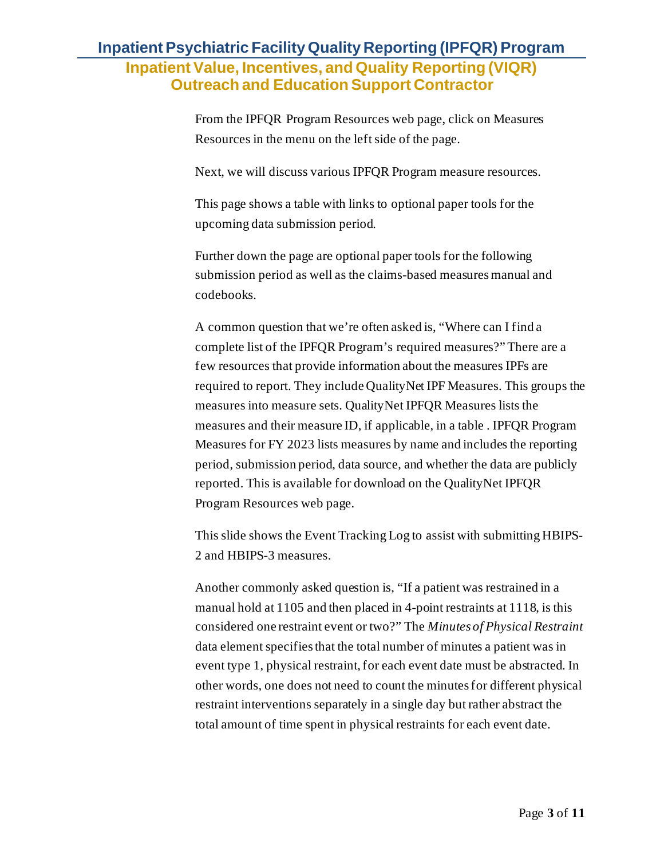From the IPFQR Program Resources web page, click on Measures Resources in the menu on the left side of the page.

Next, we will discuss various IPFQR Program measure resources.

This page shows a table with links to optional paper tools for the upcoming data submission period.

Further down the page are optional paper tools for the following submission period as well as the claims-based measures manual and codebooks.

A common question that we're often asked is, "Where can I find a complete list of the IPFQR Program's required measures?" There are a few resources that provide information about the measures IPFs are required to report. They include QualityNet IPF Measures. This groups the measures into measure sets. QualityNet IPFQR Measures lists the measures and their measure ID, if applicable, in a table . IPFQR Program Measures for FY 2023 lists measures by name and includes the reporting period, submission period, data source, and whether the data are publicly reported. This is available for download on the QualityNet IPFQR Program Resources web page.

This slide shows the Event Tracking Log to assist with submitting HBIPS-2 and HBIPS-3 measures.

Another commonly asked question is, "If a patient was restrained in a manual hold at 1105 and then placed in 4-point restraints at 1118, is this considered one restraint event or two?" The *Minutes of Physical Restraint* data element specifies that the total number of minutes a patient was in event type 1, physical restraint, for each event date must be abstracted. In other words, one does not need to count the minutes for different physical restraint interventions separately in a single day but rather abstract the total amount of time spent in physical restraints for each event date.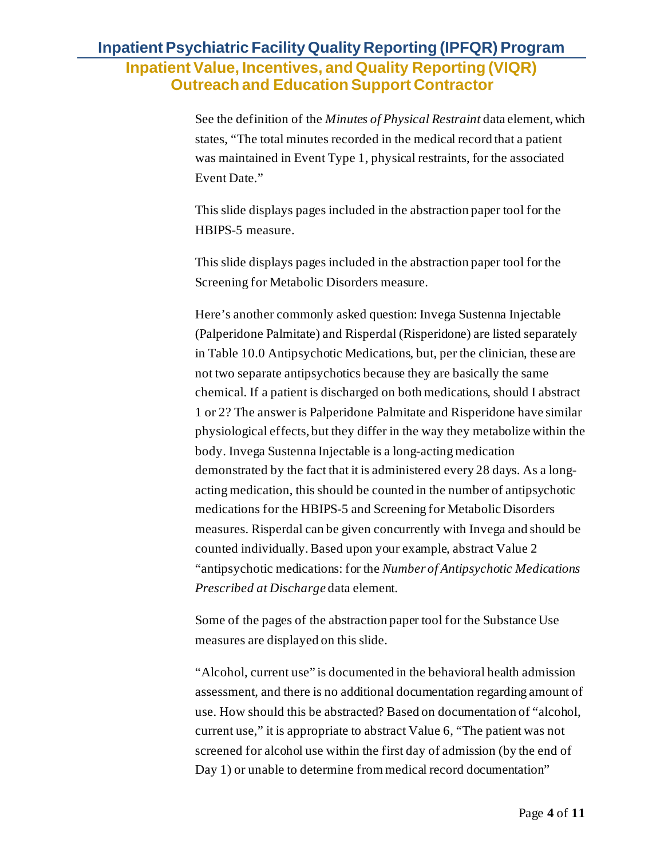See the definition of the *Minutes of Physical Restraint* data element, which states, "The total minutes recorded in the medical record that a patient was maintained in Event Type 1, physical restraints, for the associated Event Date."

This slide displays pages included in the abstraction paper tool for the HBIPS-5 measure.

This slide displays pages included in the abstraction paper tool for the Screening for Metabolic Disorders measure.

Here's another commonly asked question: Invega Sustenna Injectable (Palperidone Palmitate) and Risperdal (Risperidone) are listed separately in Table 10.0 Antipsychotic Medications, but, per the clinician, these are not two separate antipsychotics because they are basically the same chemical. If a patient is discharged on both medications, should I abstract 1 or 2? The answer is Palperidone Palmitate and Risperidone have similar physiological effects, but they differ in the way they metabolize within the body. Invega Sustenna Injectable is a long-acting medication demonstrated by the fact that it is administered every 28 days. As a longacting medication, this should be counted in the number of antipsychotic medications for the HBIPS-5 and Screening for Metabolic Disorders measures. Risperdal can be given concurrently with Invega and should be counted individually. Based upon your example, abstract Value 2 "antipsychotic medications: for the *Number of Antipsychotic Medications Prescribed at Discharge* data element.

Some of the pages of the abstraction paper tool for the Substance Use measures are displayed on this slide.

"Alcohol, current use" is documented in the behavioral health admission assessment, and there is no additional documentation regarding amount of use. How should this be abstracted? Based on documentation of "alcohol, current use," it is appropriate to abstract Value 6, "The patient was not screened for alcohol use within the first day of admission (by the end of Day 1) or unable to determine from medical record documentation"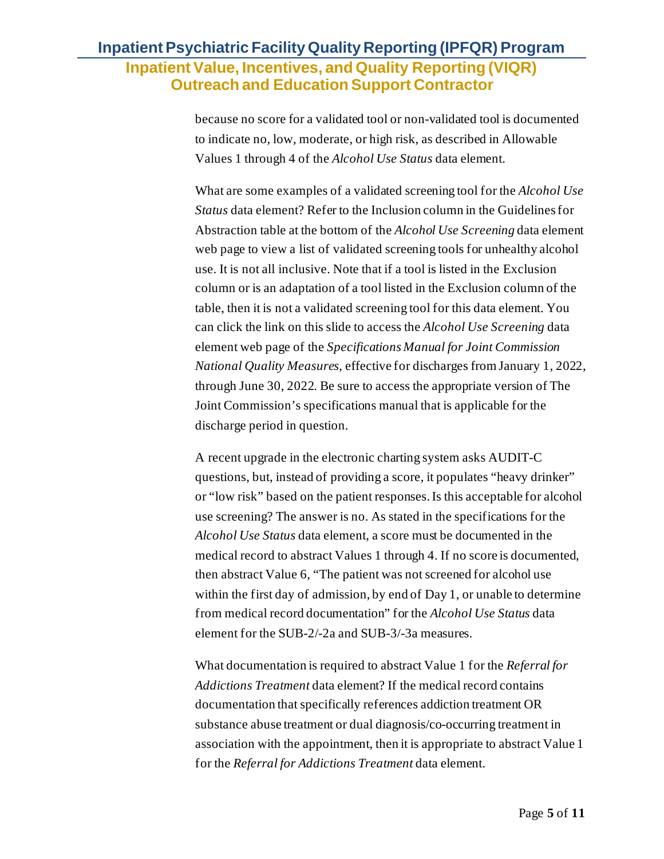because no score for a validated tool or non-validated tool is documented to indicate no, low, moderate, or high risk, as described in Allowable Values 1 through 4 of the *Alcohol Use Status* data element.

What are some examples of a validated screening tool for the *Alcohol Use Status* data element? Refer to the Inclusion column in the Guidelines for Abstraction table at the bottom of the *Alcohol Use Screening* data element web page to view a list of validated screening tools for unhealthy alcohol use. It is not all inclusive. Note that if a tool is listed in the Exclusion column or is an adaptation of a tool listed in the Exclusion column of the table, then it is not a validated screening tool for this data element. You can click the link on this slide to access the *Alcohol Use Screening* data element web page of the *Specifications Manual for Joint Commission National Quality Measures*, effective for discharges from January 1, 2022, through June 30, 2022. Be sure to access the appropriate version of The Joint Commission's specifications manual that is applicable for the discharge period in question.

A recent upgrade in the electronic charting system asks AUDIT-C questions, but, instead of providing a score, it populates "heavy drinker" or "low risk" based on the patient responses. Is this acceptable for alcohol use screening? The answer is no. As stated in the specifications for the *Alcohol Use Status* data element, a score must be documented in the medical record to abstract Values 1 through 4. If no score is documented, then abstract Value 6, "The patient was not screened for alcohol use within the first day of admission, by end of Day 1, or unable to determine from medical record documentation" for the *Alcohol Use Status* data element for the SUB-2/-2a and SUB-3/-3a measures.

What documentation is required to abstract Value 1 for the *Referral for Addictions Treatment* data element? If the medical record contains documentation that specifically references addiction treatment OR substance abuse treatment or dual diagnosis/co-occurring treatment in association with the appointment, then it is appropriate to abstract Value 1 for the *Referral for Addictions Treatment* data element.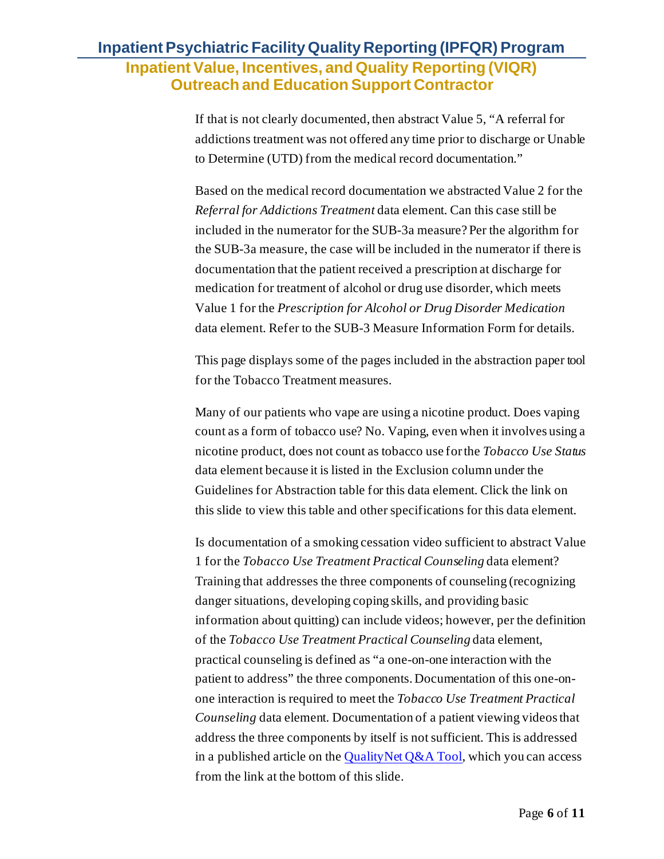If that is not clearly documented, then abstract Value 5, "A referral for addictions treatment was not offered any time prior to discharge or Unable to Determine (UTD) from the medical record documentation."

Based on the medical record documentation we abstracted Value 2 for the *Referral for Addictions Treatment* data element. Can this case still be included in the numerator for the SUB-3a measure? Per the algorithm for the SUB-3a measure, the case will be included in the numerator if there is documentation that the patient received a prescription at discharge for medication for treatment of alcohol or drug use disorder, which meets Value 1 for the *Prescription for Alcohol or Drug Disorder Medication* data element. Refer to the SUB-3 Measure Information Form for details.

This page displays some of the pages included in the abstraction paper tool for the Tobacco Treatment measures.

Many of our patients who vape are using a nicotine product. Does vaping count as a form of tobacco use? No. Vaping, even when it involves using a nicotine product, does not count as tobacco use for the *Tobacco Use Status* data element because it is listed in the Exclusion column under the Guidelines for Abstraction table for this data element. Click the link on this slide to view this table and other specifications for this data element.

Is documentation of a smoking cessation video sufficient to abstract Value 1 for the *Tobacco Use Treatment Practical Counseling* data element? Training that addresses the three components of counseling (recognizing danger situations, developing coping skills, and providing basic information about quitting) can include videos; however, per the definition of the *Tobacco Use Treatment Practical Counseling* data element, practical counseling is defined as "a one-on-one interaction with the patient to address" the three components. Documentation of this one-onone interaction is required to meet the *Tobacco Use Treatment Practical Counseling* data element. Documentation of a patient viewing videos that address the three components by itself is not sufficient. This is addressed in a published article on the QualityNet  $Q&A$  Tool, which you can access from the link at the bottom of this slide.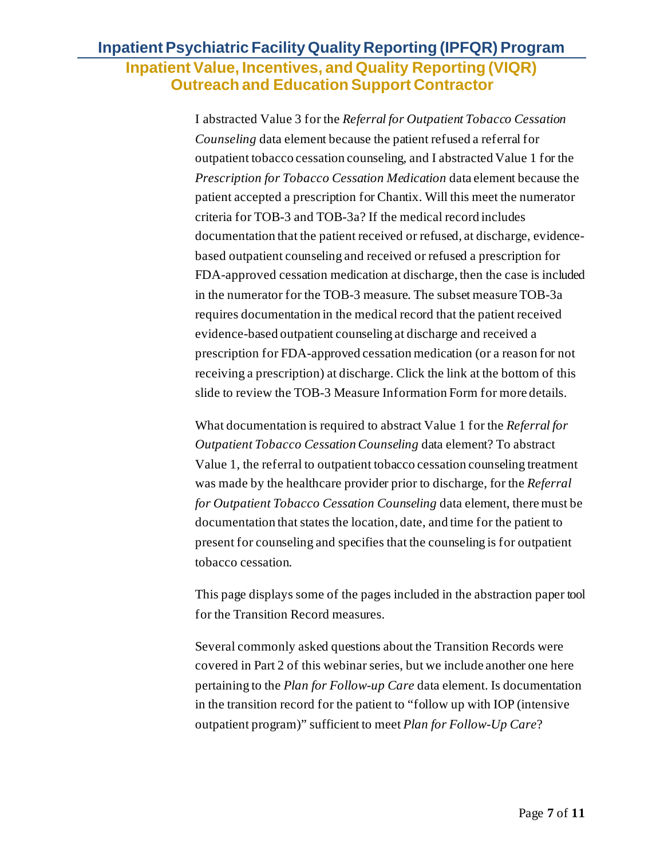I abstracted Value 3 for the *Referral for Outpatient Tobacco Cessation Counseling* data element because the patient refused a referral for outpatient tobacco cessation counseling, and I abstracted Value 1 for the *Prescription for Tobacco Cessation Medication* data element because the patient accepted a prescription for Chantix. Will this meet the numerator criteria for TOB-3 and TOB-3a? If the medical record includes documentation that the patient received or refused, at discharge, evidencebased outpatient counseling and received or refused a prescription for FDA-approved cessation medication at discharge, then the case is included in the numerator for the TOB-3 measure. The subset measure TOB-3a requires documentation in the medical record that the patient received evidence-based outpatient counseling at discharge and received a prescription for FDA-approved cessation medication (or a reason for not receiving a prescription) at discharge. Click the link at the bottom of this slide to review the TOB-3 Measure Information Form for more details.

What documentation is required to abstract Value 1 for the *Referral for Outpatient Tobacco Cessation Counseling* data element? To abstract Value 1, the referral to outpatient tobacco cessation counseling treatment was made by the healthcare provider prior to discharge, for the *Referral for Outpatient Tobacco Cessation Counseling* data element, there must be documentation that states the location, date, and time for the patient to present for counseling and specifies that the counseling is for outpatient tobacco cessation.

This page displays some of the pages included in the abstraction paper tool for the Transition Record measures.

Several commonly asked questions about the Transition Records were covered in Part 2 of this webinar series, but we include another one here pertaining to the *Plan for Follow-up Care* data element. Is documentation in the transition record for the patient to "follow up with IOP (intensive outpatient program)" sufficient to meet *Plan for Follow-Up Care*?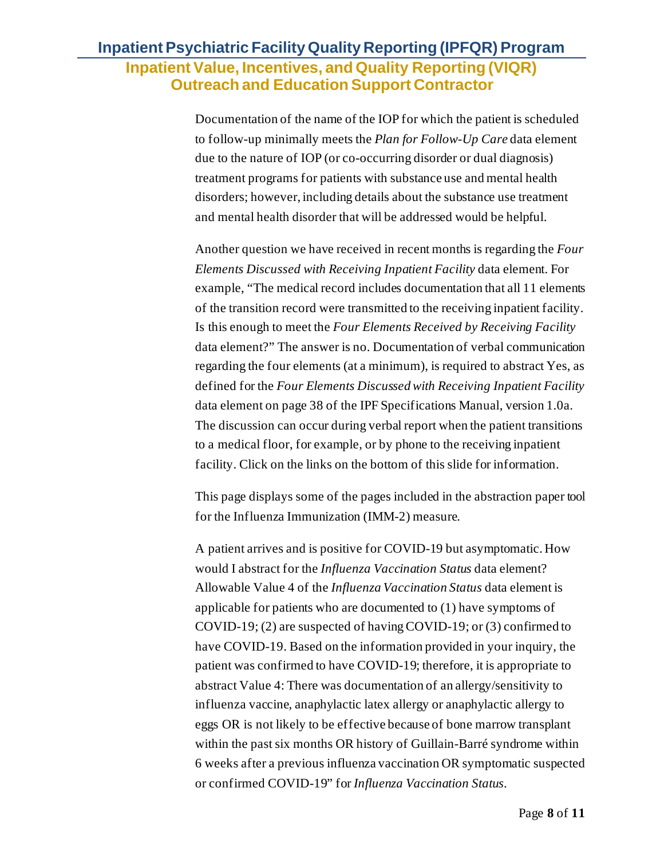Documentation of the name of the IOP for which the patient is scheduled to follow-up minimally meets the *Plan for Follow-Up Care* data element due to the nature of IOP (or co-occurring disorder or dual diagnosis) treatment programs for patients with substance use and mental health disorders; however, including details about the substance use treatment and mental health disorder that will be addressed would be helpful.

Another question we have received in recent months is regarding the *Four Elements Discussed with Receiving Inpatient Facility* data element. For example, "The medical record includes documentation that all 11 elements of the transition record were transmitted to the receiving inpatient facility. Is this enough to meet the *Four Elements Received by Receiving Facility* data element?" The answer is no. Documentation of verbal communication regarding the four elements (at a minimum), is required to abstract Yes, as defined for the *Four Elements Discussed with Receiving Inpatient Facility* data element on page 38 of the IPF Specifications Manual, version 1.0a. The discussion can occur during verbal report when the patient transitions to a medical floor, for example, or by phone to the receiving inpatient facility. Click on the links on the bottom of this slide for information.

This page displays some of the pages included in the abstraction paper tool for the Influenza Immunization (IMM-2) measure.

A patient arrives and is positive for COVID-19 but asymptomatic. How would I abstract for the *Influenza Vaccination Status* data element? Allowable Value 4 of the *Influenza Vaccination Status* data element is applicable for patients who are documented to (1) have symptoms of COVID-19; (2) are suspected of having COVID-19; or (3) confirmed to have COVID-19. Based on the information provided in your inquiry, the patient was confirmed to have COVID-19; therefore, it is appropriate to abstract Value 4: There was documentation of an allergy/sensitivity to influenza vaccine, anaphylactic latex allergy or anaphylactic allergy to eggs OR is not likely to be effective because of bone marrow transplant within the past six months OR history of Guillain-Barré syndrome within 6 weeks after a previous influenza vaccination OR symptomatic suspected or confirmed COVID-19" for *Influenza Vaccination Status*.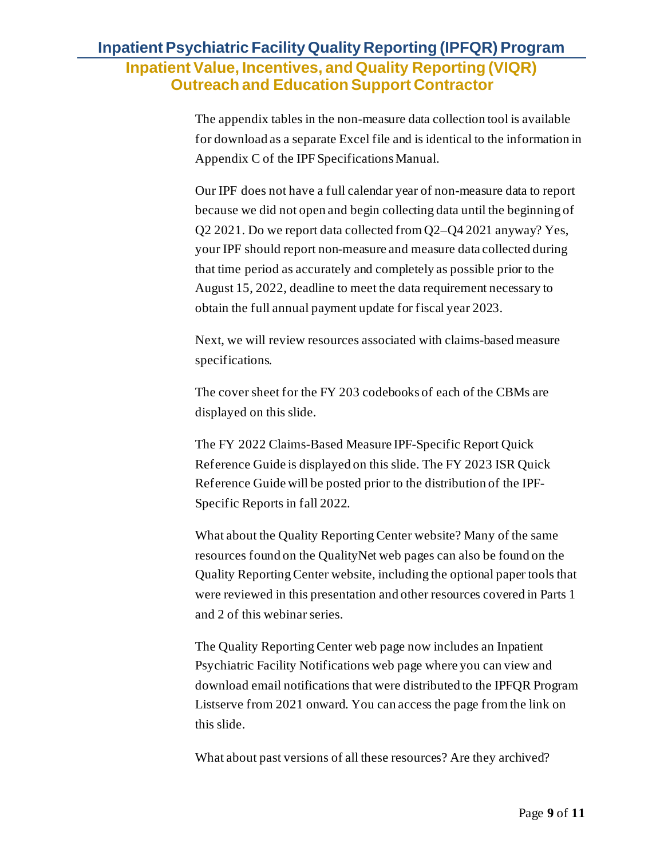The appendix tables in the non-measure data collection tool is available for download as a separate Excel file and is identical to the information in Appendix C of the IPF Specifications Manual.

Our IPF does not have a full calendar year of non-measure data to report because we did not open and begin collecting data until the beginning of Q2 2021. Do we report data collected from Q2–Q4 2021 anyway? Yes, your IPF should report non-measure and measure data collected during that time period as accurately and completely as possible prior to the August 15, 2022, deadline to meet the data requirement necessary to obtain the full annual payment update for fiscal year 2023.

Next, we will review resources associated with claims-based measure specifications.

The cover sheet for the FY 203 codebooks of each of the CBMs are displayed on this slide.

The FY 2022 Claims-Based Measure IPF-Specific Report Quick Reference Guide is displayed on this slide. The FY 2023 ISR Quick Reference Guide will be posted prior to the distribution of the IPF-Specific Reports in fall 2022.

What about the Quality Reporting Center website? Many of the same resources found on the QualityNet web pages can also be found on the Quality Reporting Center website, including the optional paper tools that were reviewed in this presentation and other resources covered in Parts 1 and 2 of this webinar series.

The Quality Reporting Center web page now includes an Inpatient Psychiatric Facility Notifications web page where you can view and download email notifications that were distributed to the IPFQR Program Listserve from 2021 onward. You can access the page from the link on this slide.

What about past versions of all these resources? Are they archived?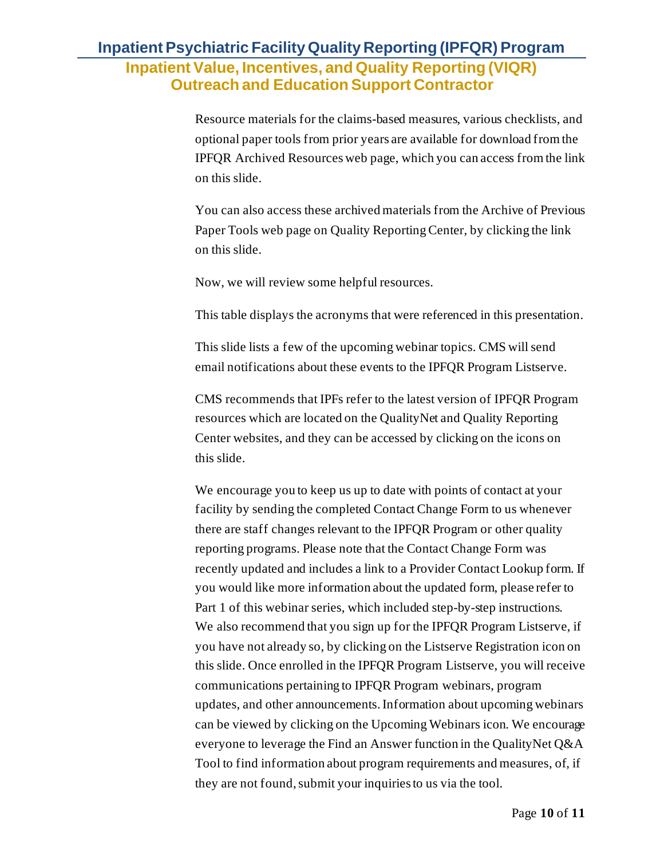Resource materials for the claims-based measures, various checklists, and optional paper tools from prior years are available for download from the IPFQR Archived Resources web page, which you can access from the link on this slide.

You can also access these archived materials from the Archive of Previous Paper Tools web page on Quality Reporting Center, by clicking the link on this slide.

Now, we will review some helpful resources.

This table displays the acronyms that were referenced in this presentation.

This slide lists a few of the upcoming webinar topics. CMS will send email notifications about these events to the IPFQR Program Listserve.

CMS recommends that IPFs refer to the latest version of IPFQR Program resources which are located on the QualityNet and Quality Reporting Center websites, and they can be accessed by clicking on the icons on this slide.

We encourage you to keep us up to date with points of contact at your facility by sending the completed Contact Change Form to us whenever there are staff changes relevant to the IPFQR Program or other quality reporting programs. Please note that the Contact Change Form was recently updated and includes a link to a Provider Contact Lookup form. If you would like more information about the updated form, please refer to Part 1 of this webinar series, which included step-by-step instructions. We also recommend that you sign up for the IPFQR Program Listserve, if you have not already so, by clicking on the Listserve Registration icon on this slide. Once enrolled in the IPFQR Program Listserve, you will receive communications pertaining to IPFQR Program webinars, program updates, and other announcements. Information about upcoming webinars can be viewed by clicking on the Upcoming Webinars icon. We encourage everyone to leverage the Find an Answer function in the QualityNet Q&A Tool to find information about program requirements and measures, of, if they are not found, submit your inquiries to us via the tool.